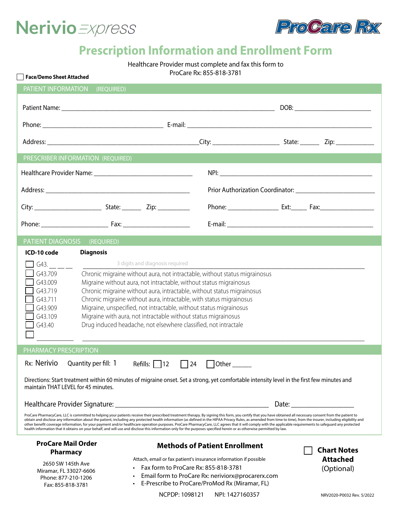



# **Prescription Information and Enrollment Form**

Healthcare Provider must complete and fax this form to

| ProCare Rx: 855-818-3781 |  |
|--------------------------|--|
|--------------------------|--|

| <b>Face/Demo Sheet Attached</b>                                                                                                                                                                                                                                                                                                                                                                                                                                                                                                                                                                                                                                                                                                                                                                                                 |                                                                                                                                                                                                                                                                                           |                                                                                  |  |
|---------------------------------------------------------------------------------------------------------------------------------------------------------------------------------------------------------------------------------------------------------------------------------------------------------------------------------------------------------------------------------------------------------------------------------------------------------------------------------------------------------------------------------------------------------------------------------------------------------------------------------------------------------------------------------------------------------------------------------------------------------------------------------------------------------------------------------|-------------------------------------------------------------------------------------------------------------------------------------------------------------------------------------------------------------------------------------------------------------------------------------------|----------------------------------------------------------------------------------|--|
| PATIENT INFORMATION<br>(REQUIRED)                                                                                                                                                                                                                                                                                                                                                                                                                                                                                                                                                                                                                                                                                                                                                                                               |                                                                                                                                                                                                                                                                                           |                                                                                  |  |
|                                                                                                                                                                                                                                                                                                                                                                                                                                                                                                                                                                                                                                                                                                                                                                                                                                 |                                                                                                                                                                                                                                                                                           |                                                                                  |  |
|                                                                                                                                                                                                                                                                                                                                                                                                                                                                                                                                                                                                                                                                                                                                                                                                                                 |                                                                                                                                                                                                                                                                                           |                                                                                  |  |
|                                                                                                                                                                                                                                                                                                                                                                                                                                                                                                                                                                                                                                                                                                                                                                                                                                 |                                                                                                                                                                                                                                                                                           |                                                                                  |  |
| PRESCRIBER INFORMATION (REQUIRED)                                                                                                                                                                                                                                                                                                                                                                                                                                                                                                                                                                                                                                                                                                                                                                                               |                                                                                                                                                                                                                                                                                           |                                                                                  |  |
|                                                                                                                                                                                                                                                                                                                                                                                                                                                                                                                                                                                                                                                                                                                                                                                                                                 |                                                                                                                                                                                                                                                                                           |                                                                                  |  |
|                                                                                                                                                                                                                                                                                                                                                                                                                                                                                                                                                                                                                                                                                                                                                                                                                                 |                                                                                                                                                                                                                                                                                           |                                                                                  |  |
|                                                                                                                                                                                                                                                                                                                                                                                                                                                                                                                                                                                                                                                                                                                                                                                                                                 |                                                                                                                                                                                                                                                                                           | Phone: ________________________ Ext:__________ Fax:_____________________________ |  |
|                                                                                                                                                                                                                                                                                                                                                                                                                                                                                                                                                                                                                                                                                                                                                                                                                                 |                                                                                                                                                                                                                                                                                           |                                                                                  |  |
| PATIENT DIAGNOSIS (REQUIRED)                                                                                                                                                                                                                                                                                                                                                                                                                                                                                                                                                                                                                                                                                                                                                                                                    |                                                                                                                                                                                                                                                                                           |                                                                                  |  |
| 3 digits and diagnosis required<br>$\sqrt{1}$ G43. __ __ __<br>G43.709<br>Chronic migraine without aura, not intractable, without status migrainosus<br>G43.009<br>Migraine without aura, not intractable, without status migrainosus<br>G43.719<br>Chronic migraine without aura, intractable, without status migrainosus<br>G43.711<br>Chronic migraine without aura, intractable, with status migrainosus<br>Migraine, unspecified, not intractable, without status migrainosus<br>G43.909<br>Migraine with aura, not intractable without status migrainosus<br>G43.109<br>Drug induced headache, not elsewhere classified, not intractale<br>G43.40                                                                                                                                                                         |                                                                                                                                                                                                                                                                                           |                                                                                  |  |
| PHARMACY PRESCRIPTION                                                                                                                                                                                                                                                                                                                                                                                                                                                                                                                                                                                                                                                                                                                                                                                                           |                                                                                                                                                                                                                                                                                           |                                                                                  |  |
| Rx: Nerivio<br>Quantity per fill: $1$ Refills: 12<br>Directions: Start treatment within 60 minutes of migraine onset. Set a strong, yet comfortable intensity level in the first few minutes and<br>maintain THAT LEVEL for 45 minutes.                                                                                                                                                                                                                                                                                                                                                                                                                                                                                                                                                                                         | $\Box$ 24<br>$\bigsqcup$ Other                                                                                                                                                                                                                                                            | Date: <u>_______________________</u>                                             |  |
| ProCare PharmacyCare, LLC is committed to helping your patients receive their prescribed treatment therapy. By signing this form, you certify that you have obtained all necessary consent from the patient to<br>obtain and disclose any information about the patient, including any protected health information (as defined in the HIPAA Privacy Rules, as amended from time to time), from the insurer, including eligibility and<br>other benefit coverage information, for your payment and/or healthcare operation purposes. ProCare PharmacyCare, LLC agrees that it will comply with the applicable requirements to safeguard any protected<br>health information that it obtains on your behalf, and will use and disclose this information only for the purposes specified herein or as otherwise permitted by law. |                                                                                                                                                                                                                                                                                           |                                                                                  |  |
| <b>ProCare Mail Order</b><br><b>Pharmacy</b><br>2650 SW 145th Ave<br>Miramar, FL 33027-6606<br>Phone: 877-210-1206<br>Fax: 855-818-3781                                                                                                                                                                                                                                                                                                                                                                                                                                                                                                                                                                                                                                                                                         | <b>Methods of Patient Enrollment</b><br>Attach, email or fax patient's insurance information if possible<br>Fax form to ProCare Rx: 855-818-3781<br>Email form to ProCare Rx: neriviorx@procarerx.com<br>E-Prescribe to ProCare/ProMod Rx (Miramar, FL)<br>NCPDP: 1098121 NPI: 1427160357 | <b>Chart Notes</b><br><b>Attached</b><br>(Optional)<br>NRV2020-P0032 Rev. 5/2022 |  |